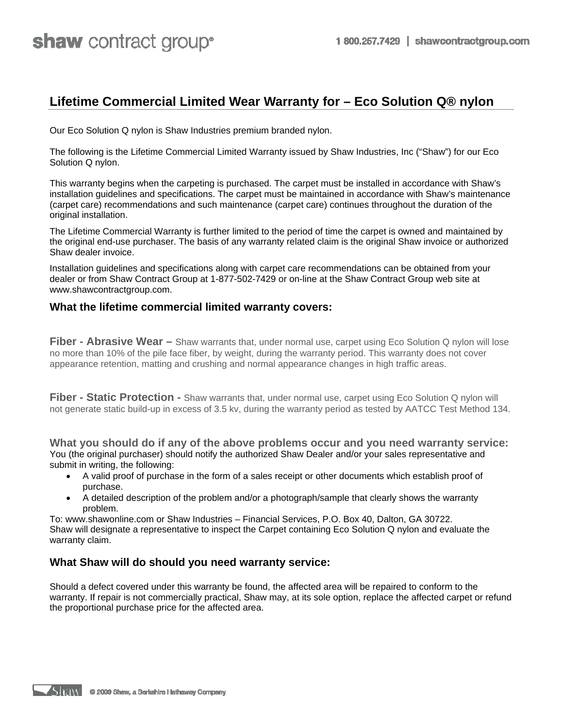## **Lifetime Commercial Limited Wear Warranty for – Eco Solution Q® nylon**

Our Eco Solution Q nylon is Shaw Industries premium branded nylon.

The following is the Lifetime Commercial Limited Warranty issued by Shaw Industries, Inc ("Shaw") for our Eco Solution Q nylon.

This warranty begins when the carpeting is purchased. The carpet must be installed in accordance with Shaw's installation guidelines and specifications. The carpet must be maintained in accordance with Shaw's maintenance (carpet care) recommendations and such maintenance (carpet care) continues throughout the duration of the original installation.

The Lifetime Commercial Warranty is further limited to the period of time the carpet is owned and maintained by the original end-use purchaser. The basis of any warranty related claim is the original Shaw invoice or authorized Shaw dealer invoice.

Installation guidelines and specifications along with carpet care recommendations can be obtained from your dealer or from Shaw Contract Group at 1-877-502-7429 or on-line at the Shaw Contract Group web site at www.shawcontractgroup.com.

## **What the lifetime commercial limited warranty covers:**

**Fiber - Abrasive Wear –** Shaw warrants that, under normal use, carpet using Eco Solution Q nylon will lose no more than 10% of the pile face fiber, by weight, during the warranty period. This warranty does not cover appearance retention, matting and crushing and normal appearance changes in high traffic areas.

**Fiber - Static Protection -** Shaw warrants that, under normal use, carpet using Eco Solution Q nylon will not generate static build-up in excess of 3.5 kv, during the warranty period as tested by AATCC Test Method 134.

**What you should do if any of the above problems occur and you need warranty service:**  You (the original purchaser) should notify the authorized Shaw Dealer and/or your sales representative and submit in writing, the following:

- A valid proof of purchase in the form of a sales receipt or other documents which establish proof of purchase.
- A detailed description of the problem and/or a photograph/sample that clearly shows the warranty problem.

To: www.shawonline.com or Shaw Industries – Financial Services, P.O. Box 40, Dalton, GA 30722. Shaw will designate a representative to inspect the Carpet containing Eco Solution Q nylon and evaluate the warranty claim.

## **What Shaw will do should you need warranty service:**

Should a defect covered under this warranty be found, the affected area will be repaired to conform to the warranty. If repair is not commercially practical, Shaw may, at its sole option, replace the affected carpet or refund the proportional purchase price for the affected area.